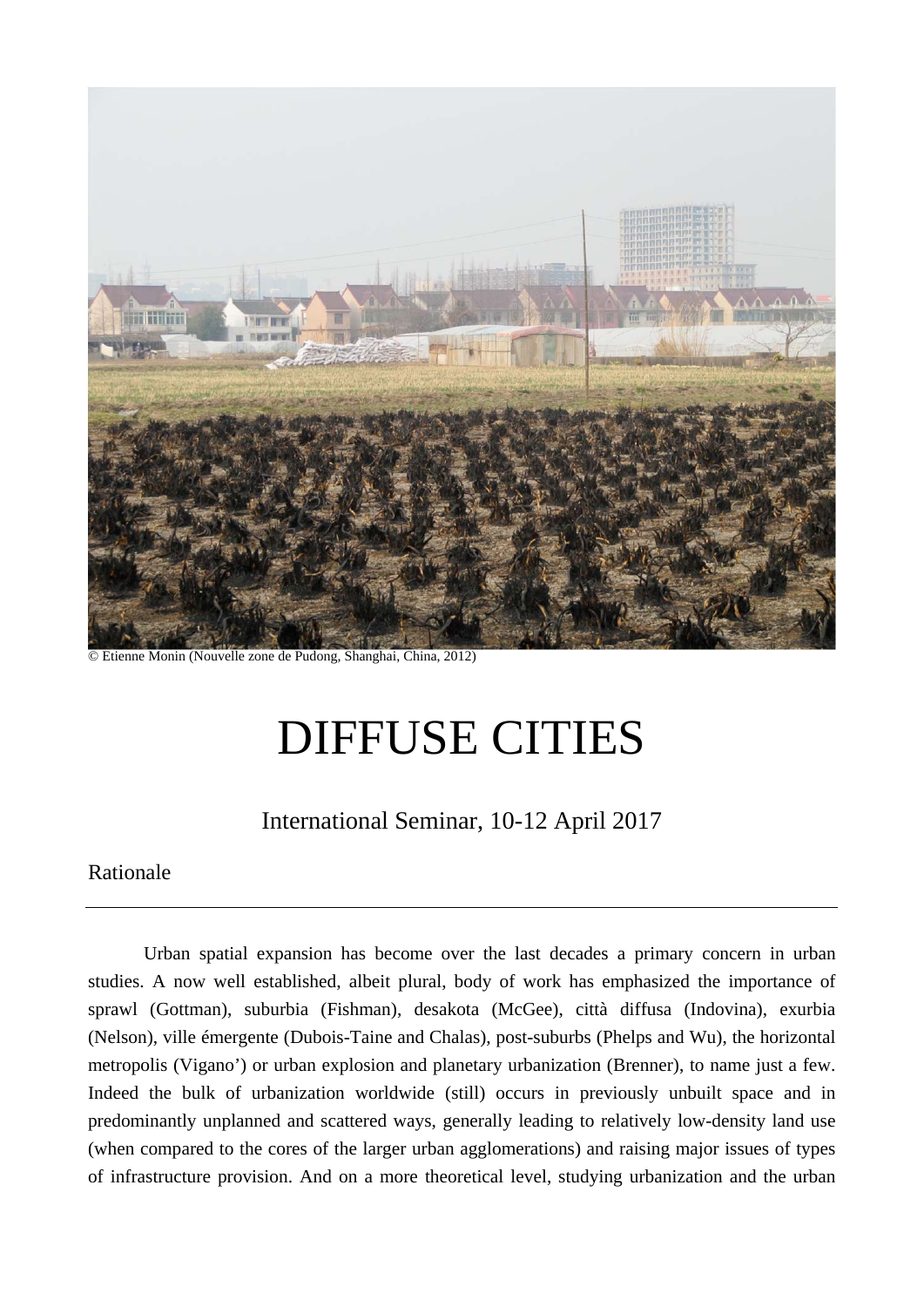

© Etienne Monin (Nouvelle zone de Pudong, Shanghai, China, 2012)

# DIFFUSE CITIES

# International Seminar, 10-12 April 2017

#### Rationale

Urban spatial expansion has become over the last decades a primary concern in urban studies. A now well established, albeit plural, body of work has emphasized the importance of sprawl (Gottman), suburbia (Fishman), desakota (McGee), città diffusa (Indovina), exurbia (Nelson), ville émergente (Dubois-Taine and Chalas), post-suburbs (Phelps and Wu), the horizontal metropolis (Vigano') or urban explosion and planetary urbanization (Brenner), to name just a few. Indeed the bulk of urbanization worldwide (still) occurs in previously unbuilt space and in predominantly unplanned and scattered ways, generally leading to relatively low-density land use (when compared to the cores of the larger urban agglomerations) and raising major issues of types of infrastructure provision. And on a more theoretical level, studying urbanization and the urban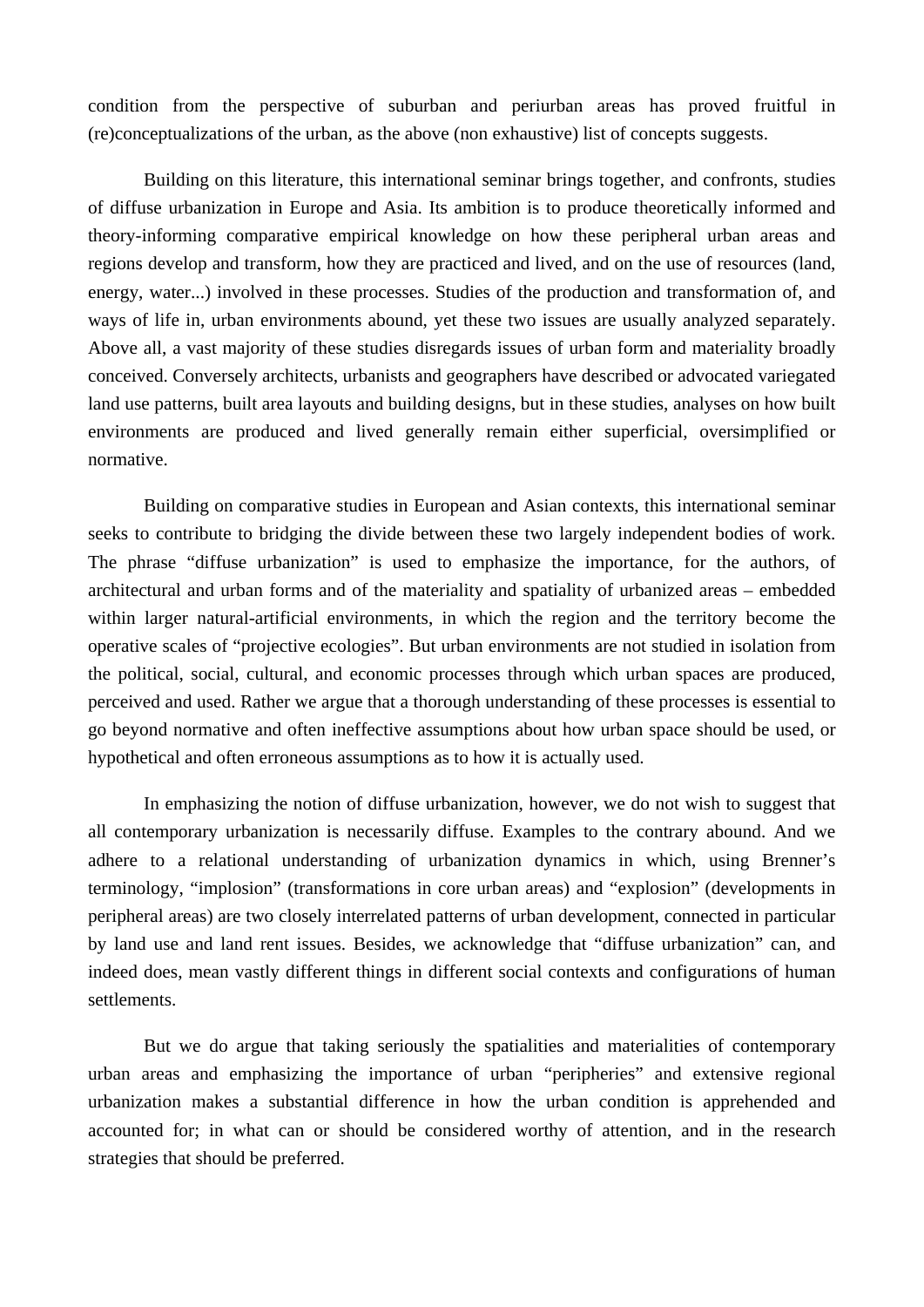condition from the perspective of suburban and periurban areas has proved fruitful in (re)conceptualizations of the urban, as the above (non exhaustive) list of concepts suggests.

 Building on this literature, this international seminar brings together, and confronts, studies of diffuse urbanization in Europe and Asia. Its ambition is to produce theoretically informed and theory-informing comparative empirical knowledge on how these peripheral urban areas and regions develop and transform, how they are practiced and lived, and on the use of resources (land, energy, water...) involved in these processes. Studies of the production and transformation of, and ways of life in, urban environments abound, yet these two issues are usually analyzed separately. Above all, a vast majority of these studies disregards issues of urban form and materiality broadly conceived. Conversely architects, urbanists and geographers have described or advocated variegated land use patterns, built area layouts and building designs, but in these studies, analyses on how built environments are produced and lived generally remain either superficial, oversimplified or normative.

 Building on comparative studies in European and Asian contexts, this international seminar seeks to contribute to bridging the divide between these two largely independent bodies of work. The phrase "diffuse urbanization" is used to emphasize the importance, for the authors, of architectural and urban forms and of the materiality and spatiality of urbanized areas – embedded within larger natural-artificial environments, in which the region and the territory become the operative scales of "projective ecologies". But urban environments are not studied in isolation from the political, social, cultural, and economic processes through which urban spaces are produced, perceived and used. Rather we argue that a thorough understanding of these processes is essential to go beyond normative and often ineffective assumptions about how urban space should be used, or hypothetical and often erroneous assumptions as to how it is actually used.

 In emphasizing the notion of diffuse urbanization, however, we do not wish to suggest that all contemporary urbanization is necessarily diffuse. Examples to the contrary abound. And we adhere to a relational understanding of urbanization dynamics in which, using Brenner's terminology, "implosion" (transformations in core urban areas) and "explosion" (developments in peripheral areas) are two closely interrelated patterns of urban development, connected in particular by land use and land rent issues. Besides, we acknowledge that "diffuse urbanization" can, and indeed does, mean vastly different things in different social contexts and configurations of human settlements.

 But we do argue that taking seriously the spatialities and materialities of contemporary urban areas and emphasizing the importance of urban "peripheries" and extensive regional urbanization makes a substantial difference in how the urban condition is apprehended and accounted for; in what can or should be considered worthy of attention, and in the research strategies that should be preferred.